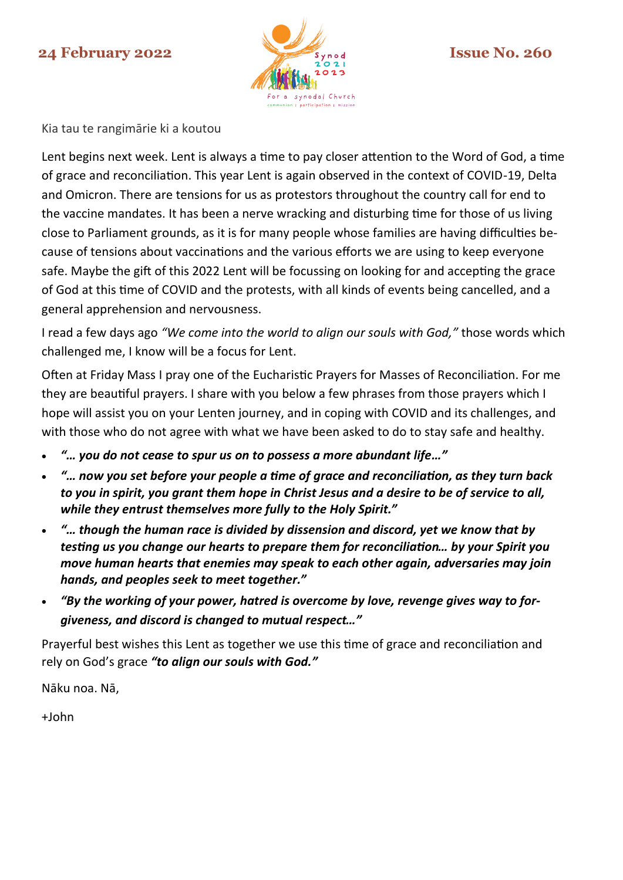# **24 February 2022 Issue No. 260**



Kia tau te rangimārie ki a koutou

Lent begins next week. Lent is always a time to pay closer attention to the Word of God, a time of grace and reconciliation. This year Lent is again observed in the context of COVID-19, Delta and Omicron. There are tensions for us as protestors throughout the country call for end to the vaccine mandates. It has been a nerve wracking and disturbing time for those of us living close to Parliament grounds, as it is for many people whose families are having difficulties because of tensions about vaccinations and the various efforts we are using to keep everyone safe. Maybe the gift of this 2022 Lent will be focussing on looking for and accepting the grace of God at this time of COVID and the protests, with all kinds of events being cancelled, and a general apprehension and nervousness.

I read a few days ago *"We come into the world to align our souls with God,"* those words which challenged me, I know will be a focus for Lent.

Often at Friday Mass I pray one of the Eucharistic Prayers for Masses of Reconciliation. For me they are beautiful prayers. I share with you below a few phrases from those prayers which I hope will assist you on your Lenten journey, and in coping with COVID and its challenges, and with those who do not agree with what we have been asked to do to stay safe and healthy.

- *"… you do not cease to spur us on to possess a more abundant life…"*
- *"… now you set before your people a time of grace and reconciliation, as they turn back to you in spirit, you grant them hope in Christ Jesus and a desire to be of service to all, while they entrust themselves more fully to the Holy Spirit."*
- *"… though the human race is divided by dissension and discord, yet we know that by testing us you change our hearts to prepare them for reconciliation… by your Spirit you move human hearts that enemies may speak to each other again, adversaries may join hands, and peoples seek to meet together."*
- *"By the working of your power, hatred is overcome by love, revenge gives way to forgiveness, and discord is changed to mutual respect…"*

Prayerful best wishes this Lent as together we use this time of grace and reconciliation and rely on God's grace *"to align our souls with God."* 

Nāku noa. Nā,

+John